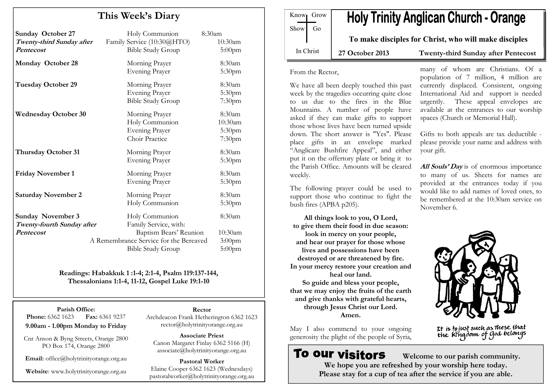## This Week's Diary

| <b>Sunday October 27</b><br>Twenty-third Sunday after<br>Pentecost  | Holy Communion<br>Family Service (10:30@HTO)<br><b>Bible Study Group</b> | 8:30am<br>10:30am<br>$5:00$ pm                    |
|---------------------------------------------------------------------|--------------------------------------------------------------------------|---------------------------------------------------|
| Monday October 28                                                   | Morning Prayer<br><b>Evening Prayer</b>                                  | 8:30am<br>5:30pm                                  |
| <b>Tuesday October 29</b>                                           | Morning Prayer<br><b>Evening Prayer</b><br><b>Bible Study Group</b>      | 8:30am<br>5:30pm<br>7:30pm                        |
| <b>Wednesday October 30</b>                                         | Morning Prayer<br>Holy Communion<br>Evening Prayer<br>Choir Practice     | 8:30am<br>10:30am<br>5:30 <sub>pm</sub><br>7:30pm |
| <b>Thursday October 31</b>                                          | Morning Prayer<br><b>Evening Prayer</b>                                  | 8:30am<br>5:30pm                                  |
| <b>Friday November 1</b>                                            | Morning Prayer<br><b>Evening Prayer</b>                                  | 8:30am<br>5:30 <sub>pm</sub>                      |
| <b>Saturday November 2</b>                                          | Morning Prayer<br>Holy Communion                                         | 8:30am<br>5:30pm                                  |
| <b>Sunday November 3</b><br>Twenty-fourth Sunday after<br>Pentecost | Holy Communion<br>Family Service, with:<br>Baptism Bears' Reunion        | 8:30am<br>10:30am                                 |
|                                                                     | A Remembrance Service for the Bereaved<br><b>Bible Study Group</b>       | $3:00$ pm<br>$5:00$ pm                            |

#### Readings: Habakkuk 1 :1-4; 2:1-4, Psalm 119:137-144, Thessalonians 1:1-4, 11-12, Gospel Luke 19:1-10

Parish Office: **Phone:** 6362 1623 **Fax:** 6361 9237 9.00am - 1.00pm Monday to Friday

Cnr Anson & Byng Streets, Orange 2800 PO Box 174, Orange 2800

Email: office@holytrinityorange.org.au

Website: www.holytrinityorange.org.au

Rector Archdeacon Frank Hetherington 6362 1623 rector@holytrinityorange.org.au

Associate Priest Canon Margaret Finlay 6362 5166 (H) associate@holytrinityorange.org.au

Pastoral Worker Elaine Cooper 6362 1623 (Wednesdays) pastoralworker@holytrinityorange.org.au

**Holy Trinity Anglican Church - Orange** Know<sub>l</sub> Grow  $Show \mid Go$ To make disciples for Christ, who will make disciples In Christ 27 October 2013 Twenty-third Sunday after Pentecost

From the Rector,

We have all been deeply touched this past week by the tragedies occurring quite close to us due to the fires in the Blue Mountains. A number of people have asked if they can make gifts to support those whose lives have been turned upside down. The short answer is "Yes". Please place gifts in an envelope marked "Anglicare Bushfire Appeal", and either put it on the offertory plate or bring it to the Parish Office. Amounts will be cleared weekly.

The following prayer could be used to support those who continue to fight the bush fires (APBA p205).

All things look to you, O Lord, to give them their food in due season: look in mercy on your people, and hear our prayer for those whose lives and possessions have been destroyed or are threatened by fire. In your mercy restore your creation and heal our land. So guide and bless your people, that we may enjoy the fruits of the earth and give thanks with grateful hearts, through Jesus Christ our Lord. Amen.

May I also commend to your ongoing generosity the plight of the people of Syria,

# **To our visitors**

many of whom are Christians. Of a population of 7 million, 4 million are currently displaced. Consistent, ongoing International Aid and support is needed urgently. These appeal envelopes are available at the entrances to our worship spaces (Church or Memorial Hall).

Gifts to both appeals are tax deductible please provide your name and address with your gift.

All Souls' Day is of enormous importance to many of us. Sheets for names are provided at the entrances today if you would like to add names of loved ones, to be remembered at the 10:30am service on November 6.



It is to just such as these that<br>the kingdom of God belongs

 Welcome to our parish community. We hope you are refreshed by your worship here today. Please stay for a cup of tea after the service if you are able.